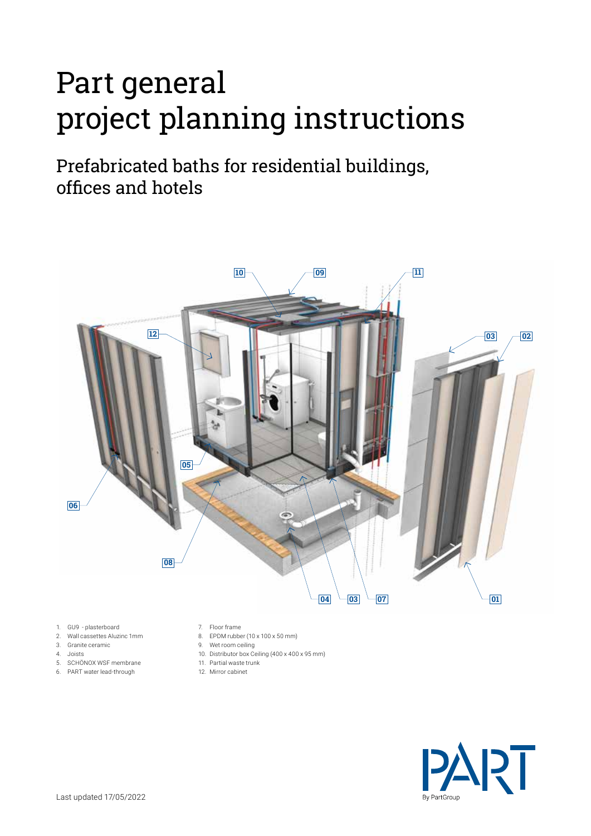# Part general project planning instructions

Prefabricated baths for residential buildings, offices and hotels



- 1. GU9 plasterboard
- 2. Wall cassettes Aluzinc 1mm
- 3. Granite ceramic
- 4. Joists
- 5. SCHÖNOX WSF membrane
- 6. PART water lead-through
- 7. Floor frame
- 8. EPDM rubber (10 x 100 x 50 mm)
- 9. Wet room ceiling
- 10. Distributor box Ceiling (400 x 400 x 95 mm)
- 11. Partial waste trunk
- 12. Mirror cabinet

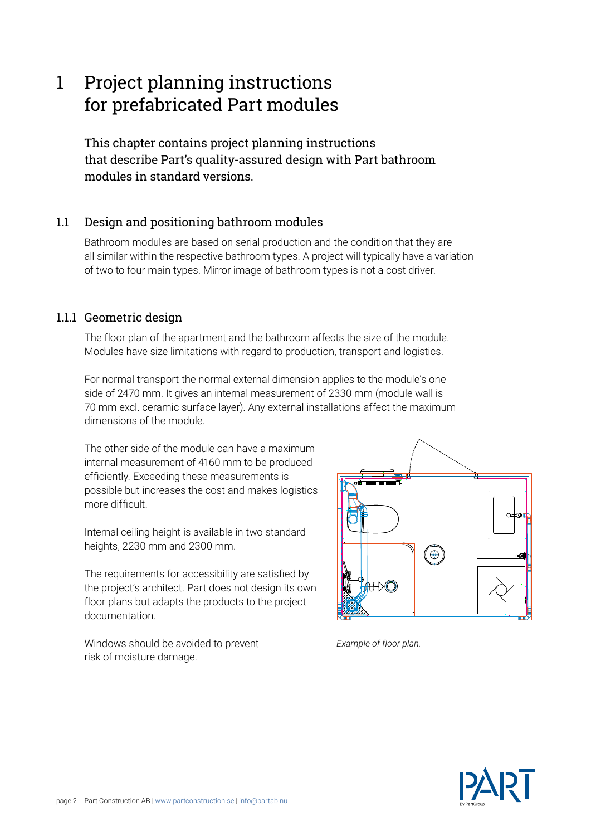### 1 Project planning instructions for prefabricated Part modules

This chapter contains project planning instructions that describe Part's quality-assured design with Part bathroom modules in standard versions.

#### 1.1 Design and positioning bathroom modules

Bathroom modules are based on serial production and the condition that they are all similar within the respective bathroom types. A project will typically have a variation of two to four main types. Mirror image of bathroom types is not a cost driver.

#### 1.1.1 Geometric design

The floor plan of the apartment and the bathroom affects the size of the module. Modules have size limitations with regard to production, transport and logistics.

For normal transport the normal external dimension applies to the module's one side of 2470 mm. It gives an internal measurement of 2330 mm (module wall is 70 mm excl. ceramic surface layer). Any external installations affect the maximum dimensions of the module.

The other side of the module can have a maximum internal measurement of 4160 mm to be produced efficiently. Exceeding these measurements is possible but increases the cost and makes logistics more difficult.

Internal ceiling height is available in two standard heights, 2230 mm and 2300 mm.

The requirements for accessibility are satisfied by the project's architect. Part does not design its own floor plans but adapts the products to the project documentation.

Windows should be avoided to prevent risk of moisture damage.



*Example of floor plan.*

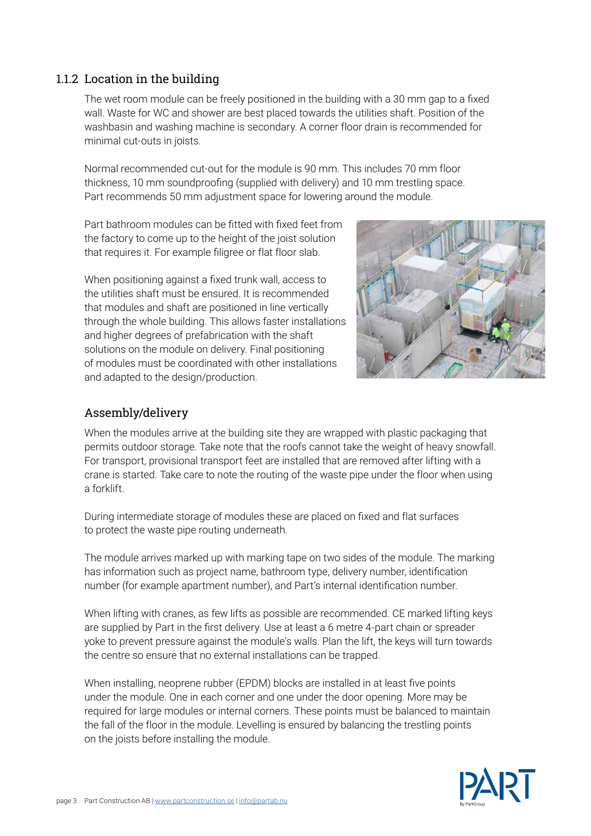#### thickness, 10 mm soundproofing (supplied with delivery) and 10 mm trestling space.

1.1.2 Location in the building

minimal cut-outs in joists.

Part recommends 50 mm adjustment space for lowering around the module.

Normal recommended cut-out for the module is 90 mm. This includes 70 mm floor

The wet room module can be freely positioned in the building with a 30 mm gap to a fixed wall. Waste for WC and shower are best placed towards the utilities shaft. Position of the washbasin and washing machine is secondary. A corner floor drain is recommended for

Part bathroom modules can be fitted with fixed feet from the factory to come up to the height of the joist solution that requires it. For example filigree or flat floor slab.

When positioning against a fixed trunk wall, access to the utilities shaft must be ensured. It is recommended that modules and shaft are positioned in line vertically through the whole building. This allows faster installations and higher degrees of prefabrication with the shaft solutions on the module on delivery. Final positioning of modules must be coordinated with other installations and adapted to the design/production.



#### Assembly/delivery

When the modules arrive at the building site they are wrapped with plastic packaging that permits outdoor storage. Take note that the roofs cannot take the weight of heavy snowfall. For transport, provisional transport feet are installed that are removed after lifting with a crane is started. Take care to note the routing of the waste pipe under the floor when using a forklift.

During intermediate storage of modules these are placed on fixed and flat surfaces to protect the waste pipe routing underneath.

The module arrives marked up with marking tape on two sides of the module. The marking has information such as project name, bathroom type, delivery number, identification number (for example apartment number), and Part's internal identification number.

When lifting with cranes, as few lifts as possible are recommended. CE marked lifting keys are supplied by Part in the first delivery. Use at least a 6 metre 4-part chain or spreader yoke to prevent pressure against the module's walls. Plan the lift, the keys will turn towards the centre so ensure that no external installations can be trapped.

When installing, neoprene rubber (EPDM) blocks are installed in at least five points under the module. One in each corner and one under the door opening. More may be required for large modules or internal corners. These points must be balanced to maintain the fall of the floor in the module. Levelling is ensured by balancing the trestling points on the joists before installing the module.

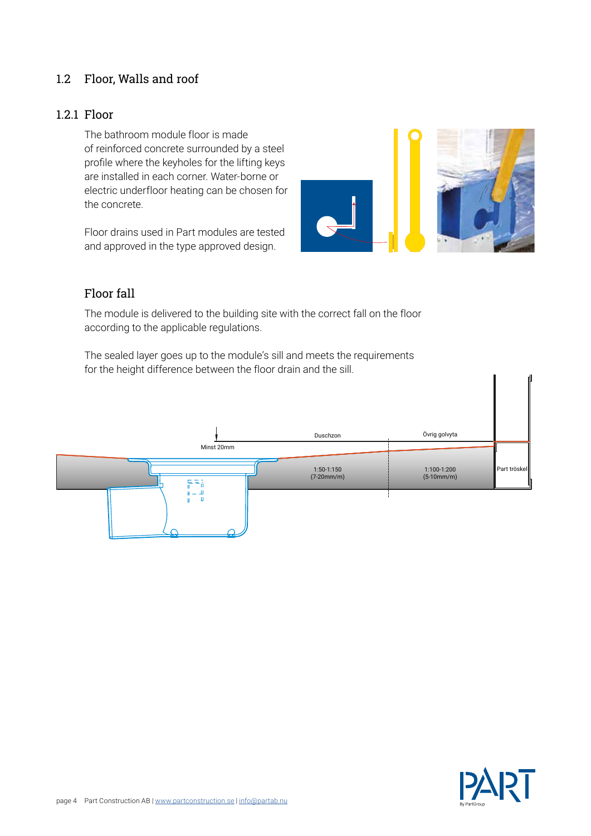#### 1.2 Floor, Walls and roof

#### 1.2.1 Floor

The bathroom module floor is made of reinforced concrete surrounded by a steel profile where the keyholes for the lifting keys are installed in each corner. Water-borne or electric underfloor heating can be chosen for the concrete.

Floor drains used in Part modules are tested and approved in the type approved design.



#### Floor fall

The module is delivered to the building site with the correct fall on the floor according to the applicable regulations.

The sealed layer goes up to the module's sill and meets the requirements for the height difference between the floor drain and the sill.



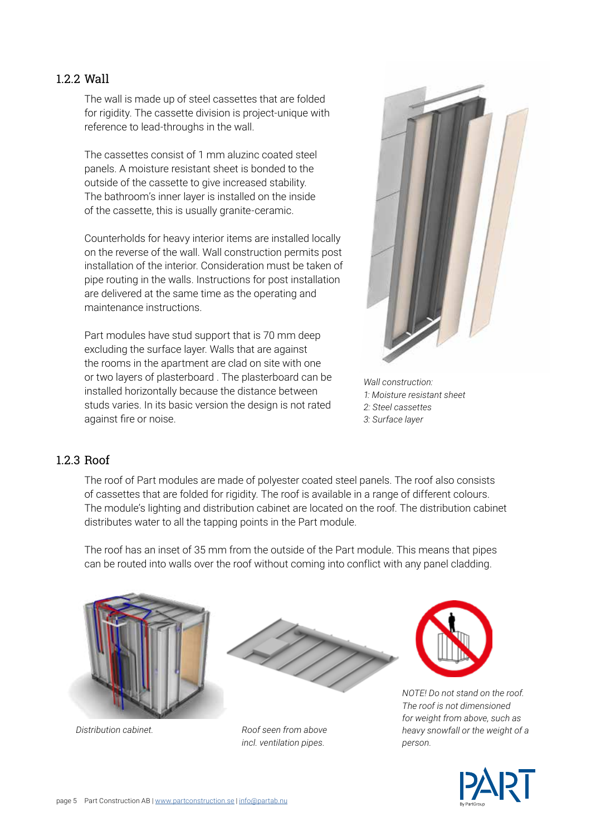#### 1.2.2 Wall

The wall is made up of steel cassettes that are folded for rigidity. The cassette division is project-unique with reference to lead-throughs in the wall.

The cassettes consist of 1 mm aluzinc coated steel panels. A moisture resistant sheet is bonded to the outside of the cassette to give increased stability. The bathroom's inner layer is installed on the inside of the cassette, this is usually granite-ceramic.

Counterholds for heavy interior items are installed locally on the reverse of the wall. Wall construction permits post installation of the interior. Consideration must be taken of pipe routing in the walls. Instructions for post installation are delivered at the same time as the operating and maintenance instructions.

Part modules have stud support that is 70 mm deep excluding the surface layer. Walls that are against the rooms in the apartment are clad on site with one or two layers of plasterboard . The plasterboard can be installed horizontally because the distance between studs varies. In its basic version the design is not rated against fire or noise.



*Wall construction: 1: Moisture resistant sheet 2: Steel cassettes 3: Surface layer*

#### 1.2.3 Roof

The roof of Part modules are made of polyester coated steel panels. The roof also consists of cassettes that are folded for rigidity. The roof is available in a range of different colours. The module's lighting and distribution cabinet are located on the roof. The distribution cabinet distributes water to all the tapping points in the Part module.

The roof has an inset of 35 mm from the outside of the Part module. This means that pipes can be routed into walls over the roof without coming into conflict with any panel cladding.





*Distribution cabinet. Roof seen from above incl. ventilation pipes.*



*NOTE! Do not stand on the roof. The roof is not dimensioned for weight from above, such as heavy snowfall or the weight of a person.*

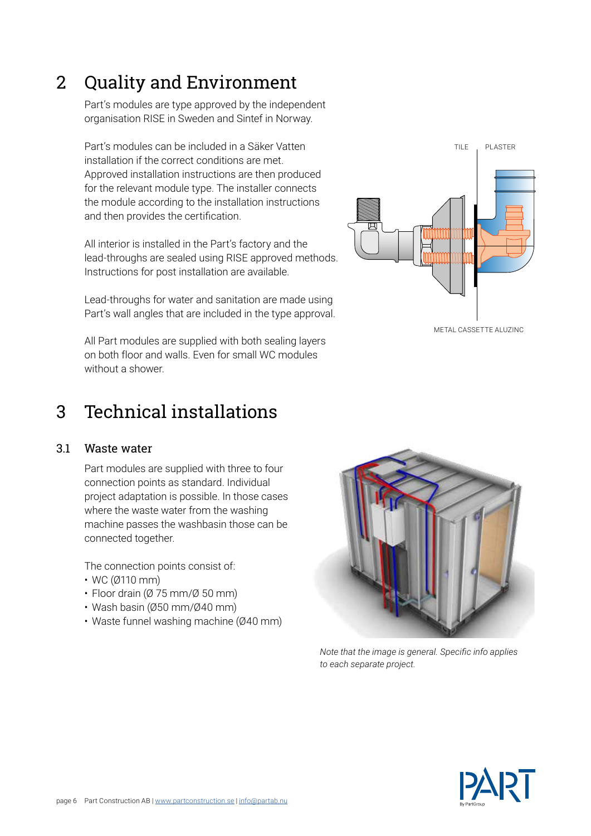3 Technical installations

#### 3.1 Waste water

Part modules are supplied with three to four connection points as standard. Individual project adaptation is possible. In those cases where the waste water from the washing machine passes the washbasin those can be connected together.

The connection points consist of:

- WC (Ø110 mm)
- $\cdot$  Floor drain ( $\varnothing$  75 mm/ $\varnothing$  50 mm)
- Wash basin (Ø50 mm/Ø40 mm)
- Waste funnel washing machine (Ø40 mm)



*Note that the image is general. Specific info applies to each separate project.*





## 2 Quality and Environment

Part's modules are type approved by the independent organisation RISE in Sweden and Sintef in Norway.

Part's modules can be included in a Säker Vatten installation if the correct conditions are met. Approved installation instructions are then produced for the relevant module type. The installer connects the module according to the installation instructions and then provides the certification.

All interior is installed in the Part's factory and the lead-throughs are sealed using RISE approved methods. Instructions for post installation are available.

Lead-throughs for water and sanitation are made using Part's wall angles that are included in the type approval.

All Part modules are supplied with both sealing layers on both floor and walls. Even for small WC modules without a shower.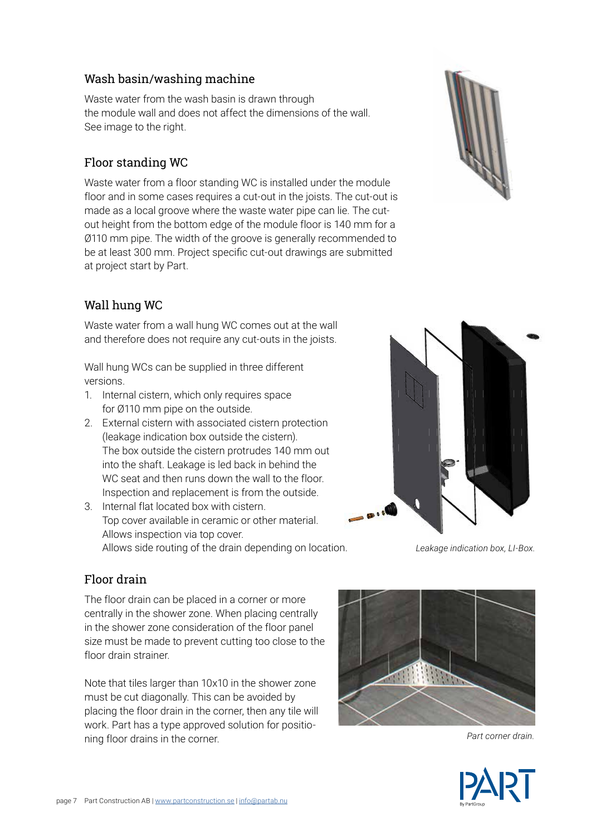#### Wash basin/washing machine

Waste water from the wash basin is drawn through the module wall and does not affect the dimensions of the wall. See image to the right.

#### Floor standing WC

Waste water from a floor standing WC is installed under the module floor and in some cases requires a cut-out in the joists. The cut-out is made as a local groove where the waste water pipe can lie. The cutout height from the bottom edge of the module floor is 140 mm for a Ø110 mm pipe. The width of the groove is generally recommended to be at least 300 mm. Project specific cut-out drawings are submitted at project start by Part.

#### Wall hung WC

Waste water from a wall hung WC comes out at the wall and therefore does not require any cut-outs in the joists.

Wall hung WCs can be supplied in three different versions.

- 1. Internal cistern, which only requires space for Ø110 mm pipe on the outside.
- 2. External cistern with associated cistern protection (leakage indication box outside the cistern). The box outside the cistern protrudes 140 mm out into the shaft. Leakage is led back in behind the WC seat and then runs down the wall to the floor. Inspection and replacement is from the outside.
- 3. Internal flat located box with cistern. Top cover available in ceramic or other material. Allows inspection via top cover. Allows side routing of the drain depending on location.





*Leakage indication box, LI-Box.*

#### Floor drain

The floor drain can be placed in a corner or more centrally in the shower zone. When placing centrally in the shower zone consideration of the floor panel size must be made to prevent cutting too close to the floor drain strainer.

Note that tiles larger than 10x10 in the shower zone must be cut diagonally. This can be avoided by placing the floor drain in the corner, then any tile will work. Part has a type approved solution for positioning floor drains in the corner.



*Part corner drain.*

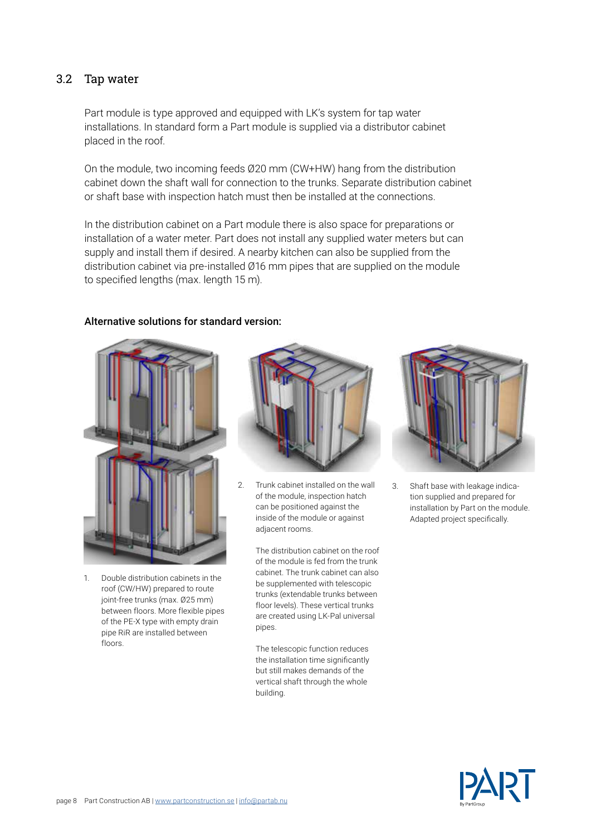#### 3.2 Tap water

Part module is type approved and equipped with LK's system for tap water installations. In standard form a Part module is supplied via a distributor cabinet placed in the roof.

On the module, two incoming feeds Ø20 mm (CW+HW) hang from the distribution cabinet down the shaft wall for connection to the trunks. Separate distribution cabinet or shaft base with inspection hatch must then be installed at the connections.

In the distribution cabinet on a Part module there is also space for preparations or installation of a water meter. Part does not install any supplied water meters but can supply and install them if desired. A nearby kitchen can also be supplied from the distribution cabinet via pre-installed Ø16 mm pipes that are supplied on the module to specified lengths (max. length 15 m).

#### Alternative solutions for standard version:



1. Double distribution cabinets in the roof (CW/HW) prepared to route joint-free trunks (max. Ø25 mm) between floors. More flexible pipes of the PE-X type with empty drain pipe RiR are installed between floors.



2. Trunk cabinet installed on the wall of the module, inspection hatch can be positioned against the inside of the module or against adiacent rooms.

> The distribution cabinet on the roof of the module is fed from the trunk cabinet. The trunk cabinet can also be supplemented with telescopic trunks (extendable trunks between floor levels). These vertical trunks are created using LK-Pal universal pipes.

The telescopic function reduces the installation time significantly but still makes demands of the vertical shaft through the whole building.



3. Shaft base with leakage indication supplied and prepared for installation by Part on the module. Adapted project specifically.

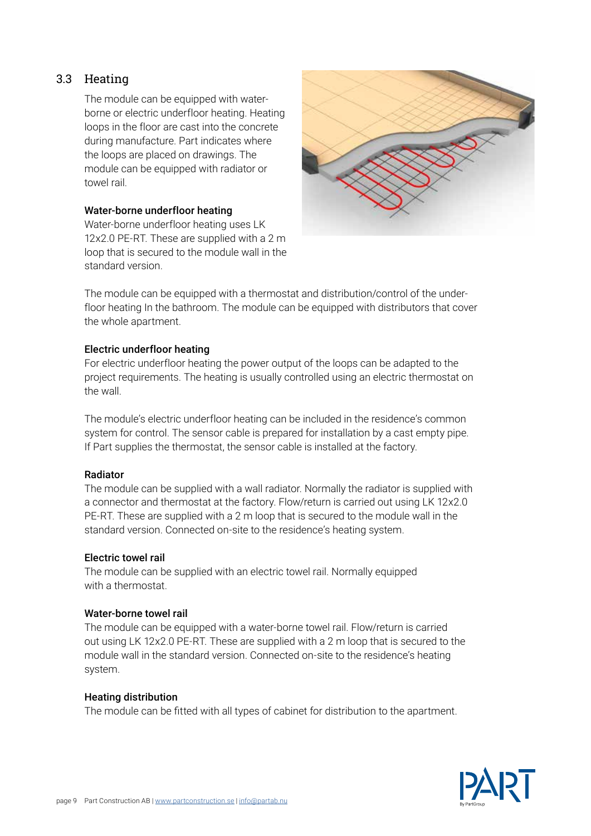#### 3.3 Heating

The module can be equipped with waterborne or electric underfloor heating. Heating loops in the floor are cast into the concrete during manufacture. Part indicates where the loops are placed on drawings. The module can be equipped with radiator or towel rail.

#### Water-borne underfloor heating

Water-borne underfloor heating uses LK 12x2.0 PE-RT. These are supplied with a 2 m loop that is secured to the module wall in the standard version.



The module can be equipped with a thermostat and distribution/control of the underfloor heating In the bathroom. The module can be equipped with distributors that cover the whole apartment.

#### Electric underfloor heating

For electric underfloor heating the power output of the loops can be adapted to the project requirements. The heating is usually controlled using an electric thermostat on the wall.

The module's electric underfloor heating can be included in the residence's common system for control. The sensor cable is prepared for installation by a cast empty pipe. If Part supplies the thermostat, the sensor cable is installed at the factory.

#### Radiator

The module can be supplied with a wall radiator. Normally the radiator is supplied with a connector and thermostat at the factory. Flow/return is carried out using LK 12x2.0 PE-RT. These are supplied with a 2 m loop that is secured to the module wall in the standard version. Connected on-site to the residence's heating system.

#### Electric towel rail

The module can be supplied with an electric towel rail. Normally equipped with a thermostat.

#### Water-borne towel rail

The module can be equipped with a water-borne towel rail. Flow/return is carried out using LK 12x2.0 PE-RT. These are supplied with a 2 m loop that is secured to the module wall in the standard version. Connected on-site to the residence's heating system.

#### Heating distribution

The module can be fitted with all types of cabinet for distribution to the apartment.

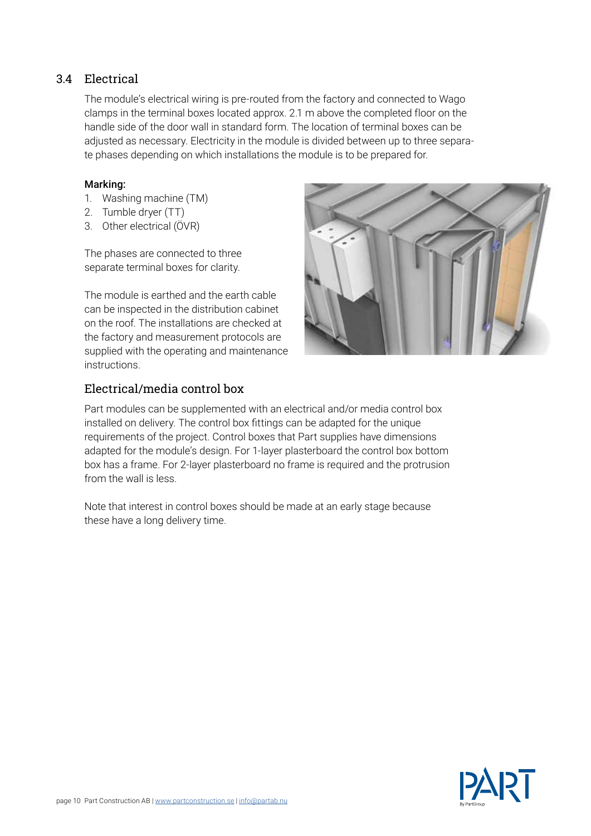#### 3.4 Electrical

The module's electrical wiring is pre-routed from the factory and connected to Wago clamps in the terminal boxes located approx. 2.1 m above the completed floor on the handle side of the door wall in standard form. The location of terminal boxes can be adjusted as necessary. Electricity in the module is divided between up to three separate phases depending on which installations the module is to be prepared for.

#### Marking:

- 1. Washing machine (TM)
- 2. Tumble dryer (TT)
- 3. Other electrical (ÖVR)

The phases are connected to three separate terminal boxes for clarity.

The module is earthed and the earth cable can be inspected in the distribution cabinet on the roof. The installations are checked at the factory and measurement protocols are supplied with the operating and maintenance instructions.



#### Electrical/media control box

Part modules can be supplemented with an electrical and/or media control box installed on delivery. The control box fittings can be adapted for the unique requirements of the project. Control boxes that Part supplies have dimensions adapted for the module's design. For 1-layer plasterboard the control box bottom box has a frame. For 2-layer plasterboard no frame is required and the protrusion from the wall is less.

Note that interest in control boxes should be made at an early stage because these have a long delivery time.

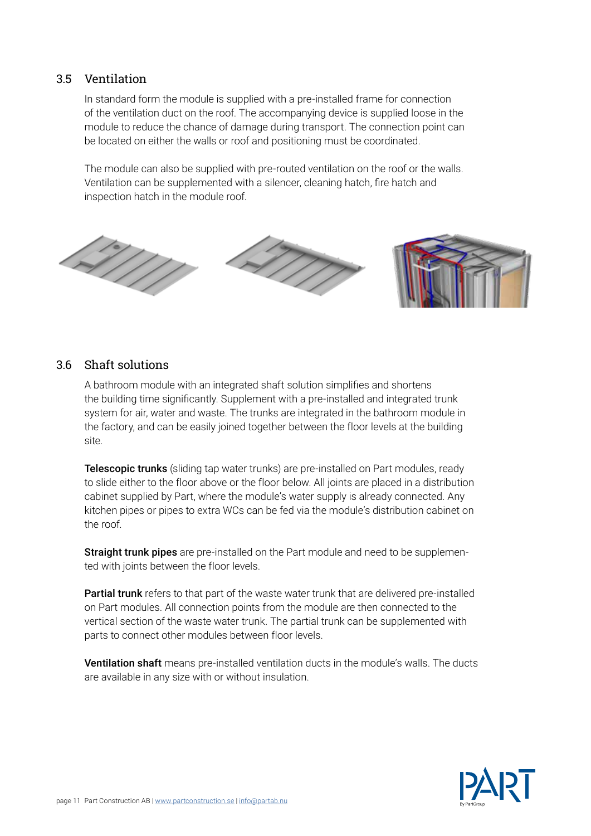#### 3.5 Ventilation

In standard form the module is supplied with a pre-installed frame for connection of the ventilation duct on the roof. The accompanying device is supplied loose in the module to reduce the chance of damage during transport. The connection point can be located on either the walls or roof and positioning must be coordinated.

The module can also be supplied with pre-routed ventilation on the roof or the walls. Ventilation can be supplemented with a silencer, cleaning hatch, fire hatch and inspection hatch in the module roof.



#### 3.6 Shaft solutions

A bathroom module with an integrated shaft solution simplifies and shortens the building time significantly. Supplement with a pre-installed and integrated trunk system for air, water and waste. The trunks are integrated in the bathroom module in the factory, and can be easily joined together between the floor levels at the building site.

**Telescopic trunks** (sliding tap water trunks) are pre-installed on Part modules, ready to slide either to the floor above or the floor below. All joints are placed in a distribution cabinet supplied by Part, where the module's water supply is already connected. Any kitchen pipes or pipes to extra WCs can be fed via the module's distribution cabinet on the roof.

**Straight trunk pipes** are pre-installed on the Part module and need to be supplemented with joints between the floor levels.

Partial trunk refers to that part of the waste water trunk that are delivered pre-installed on Part modules. All connection points from the module are then connected to the vertical section of the waste water trunk. The partial trunk can be supplemented with parts to connect other modules between floor levels.

Ventilation shaft means pre-installed ventilation ducts in the module's walls. The ducts are available in any size with or without insulation.